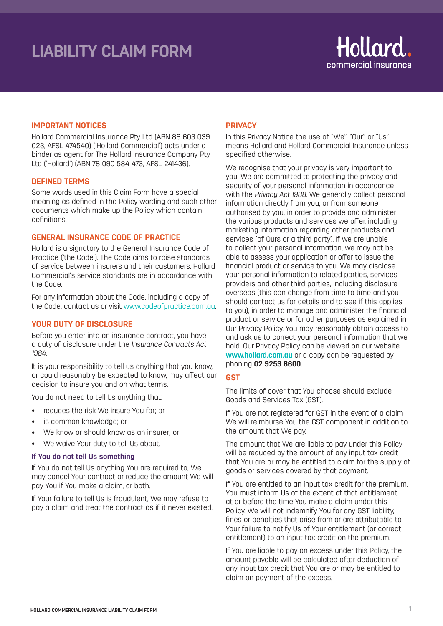# **LIABILITY CLAIM FORM**



#### **IMPORTANT NOTICES**

Hollard Commercial Insurance Pty Ltd (ABN 86 603 039 023, AFSL 474540) ('Hollard Commercial') acts under a binder as agent for The Hollard Insurance Company Pty Ltd ('Hollard') (ABN 78 090 584 473, AFSL 241436).

#### **DEFINED TERMS**

Some words used in this Claim Form have a special meaning as defined in the Policy wording and such other documents which make up the Policy which contain definitions.

# **GENERAL INSURANCE CODE OF PRACTICE**

Hollard is a signatory to the General Insurance Code of Practice ('the Code'). The Code aims to raise standards of service between insurers and their customers. Hollard Commercial's service standards are in accordance with the Code.

For any information about the Code, including a copy of the Code, contact us or visit www.codeofpractice.com.au.

#### **YOUR DUTY OF DISCLOSURE**

Before you enter into an insurance contract, you have a duty of disclosure under the *Insurance Contracts Act 1984.* 

It is your responsibility to tell us anything that you know, or could reasonably be expected to know, may affect our decision to insure you and on what terms.

You do not need to tell Us anything that:

- reduces the risk We insure You for; or
- is common knowledge; or
- We know or should know as an insurer; or
- We waive Your duty to tell Us about.

#### **If You do not tell Us something**

If You do not tell Us anything You are required to, We may cancel Your contract or reduce the amount We will pay You if You make a claim, or both.

If Your failure to tell Us is fraudulent, We may refuse to pay a claim and treat the contract as if it never existed.

### **PRIVACY**

In this Privacy Notice the use of "We", "Our" or "Us" means Hollard and Hollard Commercial Insurance unless specified otherwise.

We recognise that your privacy is very important to you. We are committed to protecting the privacy and security of your personal information in accordance with the *Privacy Act 1988*. We generally collect personal information directly from you, or from someone authorised by you, in order to provide and administer the various products and services we offer, including marketing information regarding other products and services (of Ours or a third party). If we are unable to collect your personal information, we may not be able to assess your application or offer to issue the financial product or service to you. We may disclose your personal information to related parties, services providers and other third parties, including disclosure overseas (this can change from time to time and you should contact us for details and to see if this applies to you), in order to manage and administer the financial product or service or for other purposes as explained in Our Privacy Policy. You may reasonably obtain access to and ask us to correct your personal information that we hold. Our Privacy Policy can be viewed on our website **www.hollard.com.au** or a copy can be requested by phoning **02 9253 6600**.

# **GST**

The limits of cover that You choose should exclude Goods and Services Tax (GST).

If You are not registered for GST in the event of a claim We will reimburse You the GST component in addition to the amount that We pay.

The amount that We are liable to pay under this Policy will be reduced by the amount of any input tax credit that You are or may be entitled to claim for the supply of goods or services covered by that payment.

If You are entitled to an input tax credit for the premium, You must inform Us of the extent of that entitlement at or before the time You make a claim under this Policy. We will not indemnify You for any GST liability, fines or penalties that arise from or are attributable to Your failure to notify Us of Your entitlement (or correct entitlement) to an input tax credit on the premium.

If You are liable to pay an excess under this Policy, the amount payable will be calculated after deduction of any input tax credit that You are or may be entitled to claim on payment of the excess.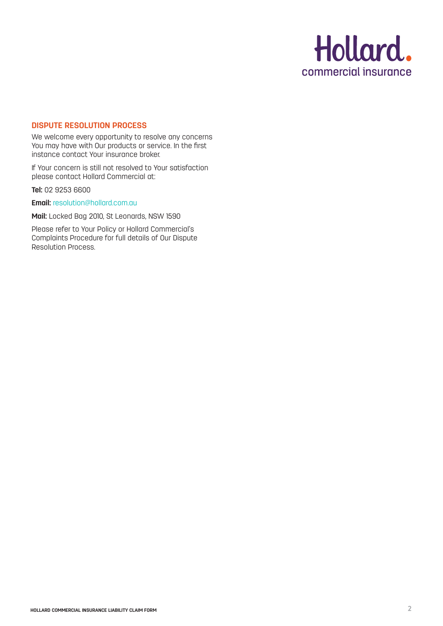

# **DISPUTE RESOLUTION PROCESS**

We welcome every opportunity to resolve any concerns You may have with Our products or service. In the first instance contact Your insurance broker.

If Your concern is still not resolved to Your satisfaction please contact Hollard Commercial at:

**Tel:** 02 9253 6600

**Email:** resolution@hollard.com.au

**Mail:** Locked Bag 2010, St Leonards, NSW 1590

Please refer to Your Policy or Hollard Commercial's Complaints Procedure for full details of Our Dispute Resolution Process.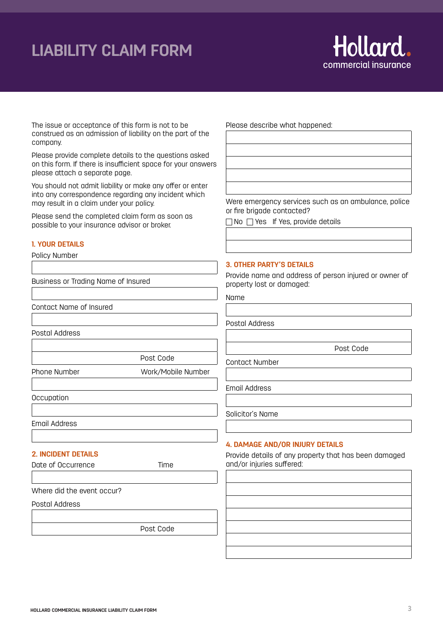# **LIABILITY CLAIM FORM**



The issue or acceptance of this form is not to be construed as an admission of liability on the part of the company.

Please provide complete details to the questions asked on this form. If there is insufficient space for your answers please attach a separate page.

You should not admit liability or make any offer or enter into any correspondence regarding any incident which may result in a claim under your policy.

Please send the completed claim form as soon as possible to your insurance advisor or broker.

#### **1. YOUR DETAILS**

Policy Number

Business or Trading Name of Insured

Contact Name of Insured

Postal Address

Post Code

Phone Number Work/Mobile Number

**Occupation** 

Email Address

# **2. INCIDENT DETAILS**

Date of Occurrence Time

Where did the event occur?

Postal Address

Post Code

Please describe what happened:

Were emergency services such as an ambulance, police or fire brigade contacted?

 $\Box$  No  $\Box$  Yes If Yes, provide details

#### **3. OTHER PARTY'S DETAILS**

Provide name and address of person injured or owner of property lost or damaged:

Name

Postal Address

Post Code

Contact Number

Email Address

Solicitor's Name

#### **4. DAMAGE AND/OR INJURY DETAILS**

Provide details of any property that has been damaged and/or injuries suffered: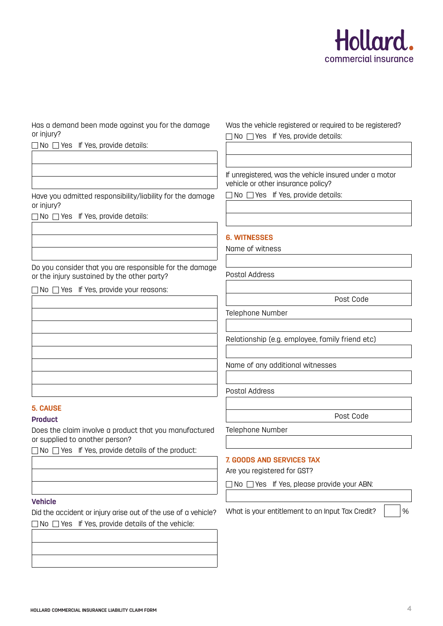

Has a demand been made against you for the damage or injury?

 $\Box$  No  $\Box$  Yes If Yes, provide details:

Have you admitted responsibility/liability for the damage or injury?

 $\Box$  No  $\Box$  Yes If Yes, provide details:

Do you consider that you are responsible for the damage or the injury sustained by the other party?

 $\Box$  No  $\Box$  Yes If Yes, provide your reasons:

# **5. CAUSE**

# **Product**

Does the claim involve a product that you manufactured or supplied to another person?

 $\Box$  No  $\Box$  Yes If Yes, provide details of the product:

# **Vehicle**

Did the accident or injury arise out of the use of a vehicle?  $\Box$  No  $\Box$  Yes If Yes, provide details of the vehicle:

Was the vehicle registered or required to be registered? No Yes If Yes, provide details:

If unregistered, was the vehicle insured under a motor vehicle or other insurance policy?

 $\Box$  No  $\Box$  Yes If Yes, provide details:

# **6. WITNESSES**

Name of witness

Postal Address

Post Code

Telephone Number

Relationship (e.g. employee, family friend etc)

Name of any additional witnesses

Postal Address

Post Code

Telephone Number

# **7. GOODS AND SERVICES TAX**

Are you registered for GST?

No Yes If Yes, please provide your ABN:

What is your entitlement to an Input Tax Credit?  $\vert$  /%